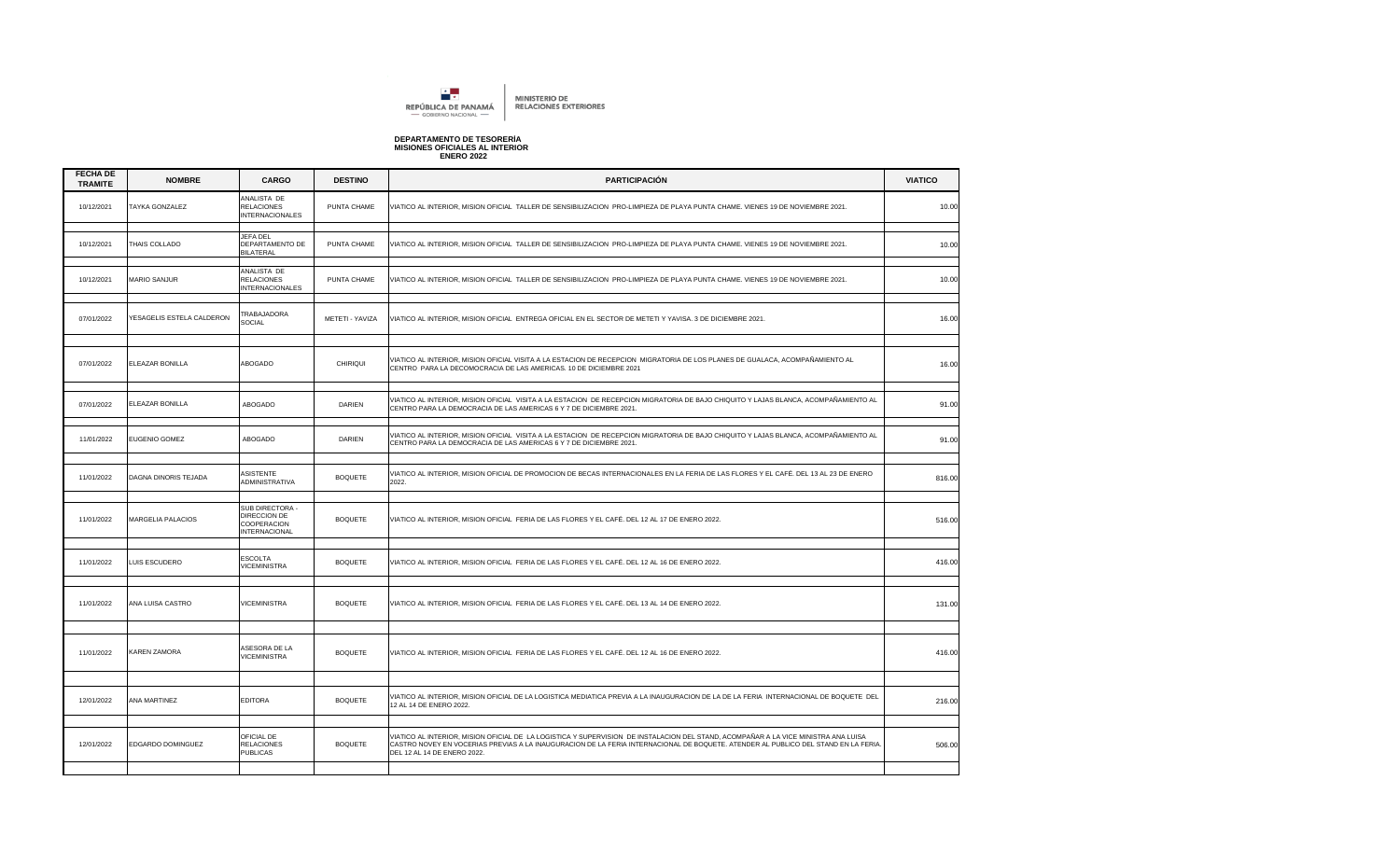

## **DEPARTAMENTO DE TESORERÍA MISIONES OFICIALES AL INTERIOR ENERO 2022**

| <b>FECHA DE</b><br><b>TRAMITE</b> | <b>NOMBRE</b>             | <b>CARGO</b>                                                           | <b>DESTINO</b>  | <b>PARTICIPACIÓN</b>                                                                                                                                                                                                                                                                                    | <b>VIATICO</b> |
|-----------------------------------|---------------------------|------------------------------------------------------------------------|-----------------|---------------------------------------------------------------------------------------------------------------------------------------------------------------------------------------------------------------------------------------------------------------------------------------------------------|----------------|
| 10/12/2021                        | TAYKA GONZALEZ            | ANALISTA DE<br><b>RELACIONES</b><br><b>INTERNACIONALES</b>             | PUNTA CHAME     | VIATICO AL INTERIOR, MISION OFICIAL TALLER DE SENSIBILIZACION PRO-LIMPIEZA DE PLAYA PUNTA CHAME. VIENES 19 DE NOVIEMBRE 2021.                                                                                                                                                                           | 10.00          |
| 10/12/2021                        | THAIS COLLADO             | <b>JEFA DEL</b><br>DEPARTAMENTO DE<br><b>BILATERAL</b>                 | PUNTA CHAME     | /IATICO AL INTERIOR, MISION OFICIAL TALLER DE SENSIBILIZACION PRO-LIMPIEZA DE PLAYA PUNTA CHAME. VIENES 19 DE NOVIEMBRE 2021.                                                                                                                                                                           | 10.00          |
| 10/12/2021                        | <b>MARIO SANJUR</b>       | ANALISTA DE<br><b>RELACIONES</b><br><b>INTERNACIONALES</b>             | PUNTA CHAME     | VIATICO AL INTERIOR, MISION OFICIAL TALLER DE SENSIBILIZACION PRO-LIMPIEZA DE PLAYA PUNTA CHAME. VIENES 19 DE NOVIEMBRE 2021.                                                                                                                                                                           | 10.00          |
| 07/01/2022                        | YESAGELIS ESTELA CALDERON | TRABAJADORA<br><b>SOCIAL</b>                                           | METETI - YAVIZA | /IATICO AL INTERIOR, MISION OFICIAL ENTREGA OFICIAL EN EL SECTOR DE METETI Y YAVISA. 3 DE DICIEMBRE 2021.                                                                                                                                                                                               | 16.00          |
| 07/01/2022                        | ELEAZAR BONILLA           | ABOGADO                                                                | CHIRIQUI        | VIATICO AL INTERIOR, MISION OFICIAL VISITA A LA ESTACION DE RECEPCION MIGRATORIA DE LOS PLANES DE GUALACA, ACOMPAÑAMIENTO AL<br>CENTRO PARA LA DECOMOCRACIA DE LAS AMERICAS. 10 DE DICIEMBRE 2021                                                                                                       | 16.00          |
| 07/01/2022                        | ELEAZAR BONILLA           | ABOGADO                                                                | DARIEN          | VIATICO AL INTERIOR, MISION OFICIAL VISITA A LA ESTACION DE RECEPCION MIGRATORIA DE BAJO CHIQUITO Y LAJAS BLANCA, ACOMPAÑAMIENTO AL<br>CENTRO PARA LA DEMOCRACIA DE LAS AMERICAS 6 Y 7 DE DICIEMBRE 2021.                                                                                               | 91.00          |
| 11/01/2022                        | <b>EUGENIO GOMEZ</b>      | ABOGADO                                                                | DARIEN          | VIATICO AL INTERIOR, MISION OFICIAL VISITA A LA ESTACION DE RECEPCION MIGRATORIA DE BAJO CHIQUITO Y LAJAS BLANCA, ACOMPAÑAMIENTO AL<br>CENTRO PARA LA DEMOCRACIA DE LAS AMERICAS 6 Y 7 DE DICIEMBRE 2021.                                                                                               | 91.00          |
| 11/01/2022                        | DAGNA DINORIS TEJADA      | ASISTENTE<br>ADMINISTRATIVA                                            | <b>BOQUETE</b>  | VIATICO AL INTERIOR, MISION OFICIAL DE PROMOCION DE BECAS INTERNACIONALES EN LA FERIA DE LAS FLORES Y EL CAFÉ. DEL 13 AL 23 DE ENERO<br>2022.                                                                                                                                                           | 816.00         |
| 11/01/2022                        | MARGELIA PALACIOS         | SUB DIRECTORA -<br>DIRECCION DE<br>COOPERACION<br><b>INTERNACIONAL</b> | <b>BOQUETE</b>  | VIATICO AL INTERIOR, MISION OFICIAL FERIA DE LAS FLORES Y EL CAFÉ. DEL 12 AL 17 DE ENERO 2022.                                                                                                                                                                                                          | 516.00         |
| 11/01/2022                        | LUIS ESCUDERO             | <b>ESCOLTA</b><br><b>VICEMINISTRA</b>                                  | <b>BOQUETE</b>  | VIATICO AL INTERIOR, MISION OFICIAL FERIA DE LAS FLORES Y EL CAFÉ. DEL 12 AL 16 DE ENERO 2022.                                                                                                                                                                                                          | 416.00         |
| 11/01/2022                        | ANA LUISA CASTRO          | <b>VICEMINISTRA</b>                                                    | <b>BOQUETE</b>  | VIATICO AL INTERIOR. MISION OFICIAL FERIA DE LAS FLORES Y EL CAFÉ. DEL 13 AL 14 DE ENERO 2022.                                                                                                                                                                                                          | 131.00         |
| 11/01/2022                        | KAREN ZAMORA              | ASESORA DE LA<br><b>VICEMINISTRA</b>                                   | <b>BOQUETE</b>  | VIATICO AL INTERIOR, MISION OFICIAL FERIA DE LAS FLORES Y EL CAFÉ. DEL 12 AL 16 DE ENERO 2022.                                                                                                                                                                                                          | 416.00         |
| 12/01/2022                        | ANA MARTINEZ              | <b>EDITORA</b>                                                         | <b>BOQUETE</b>  | VIATICO AL INTERIOR, MISION OFICIAL DE LA LOGISTICA MEDIATICA PREVIA A LA INAUGURACION DE LA DE LA FERIA INTERNACIONAL DE BOQUETE DEL<br>12 AL 14 DE ENERO 2022.                                                                                                                                        | 216.00         |
|                                   |                           |                                                                        |                 |                                                                                                                                                                                                                                                                                                         |                |
| 12/01/2022                        | EDGARDO DOMINGUEZ         | OFICIAL DE<br><b>RELACIONES</b><br><b>PUBLICAS</b>                     | <b>BOQUETE</b>  | VIATICO AL INTERIOR, MISION OFICIAL DE LA LOGISTICA Y SUPERVISION DE INSTALACION DEL STAND, ACOMPAÑAR A LA VICE MINISTRA ANA LUISA<br>CASTRO NOVEY EN VOCERIAS PREVIAS A LA INAUGURACION DE LA FERIA INTERNACIONAL DE BOQUETE. ATENDER AL PUBLICO DEL STAND EN LA FERIA.<br>DEL 12 AL 14 DE ENERO 2022. | 506.00         |
|                                   |                           |                                                                        |                 |                                                                                                                                                                                                                                                                                                         |                |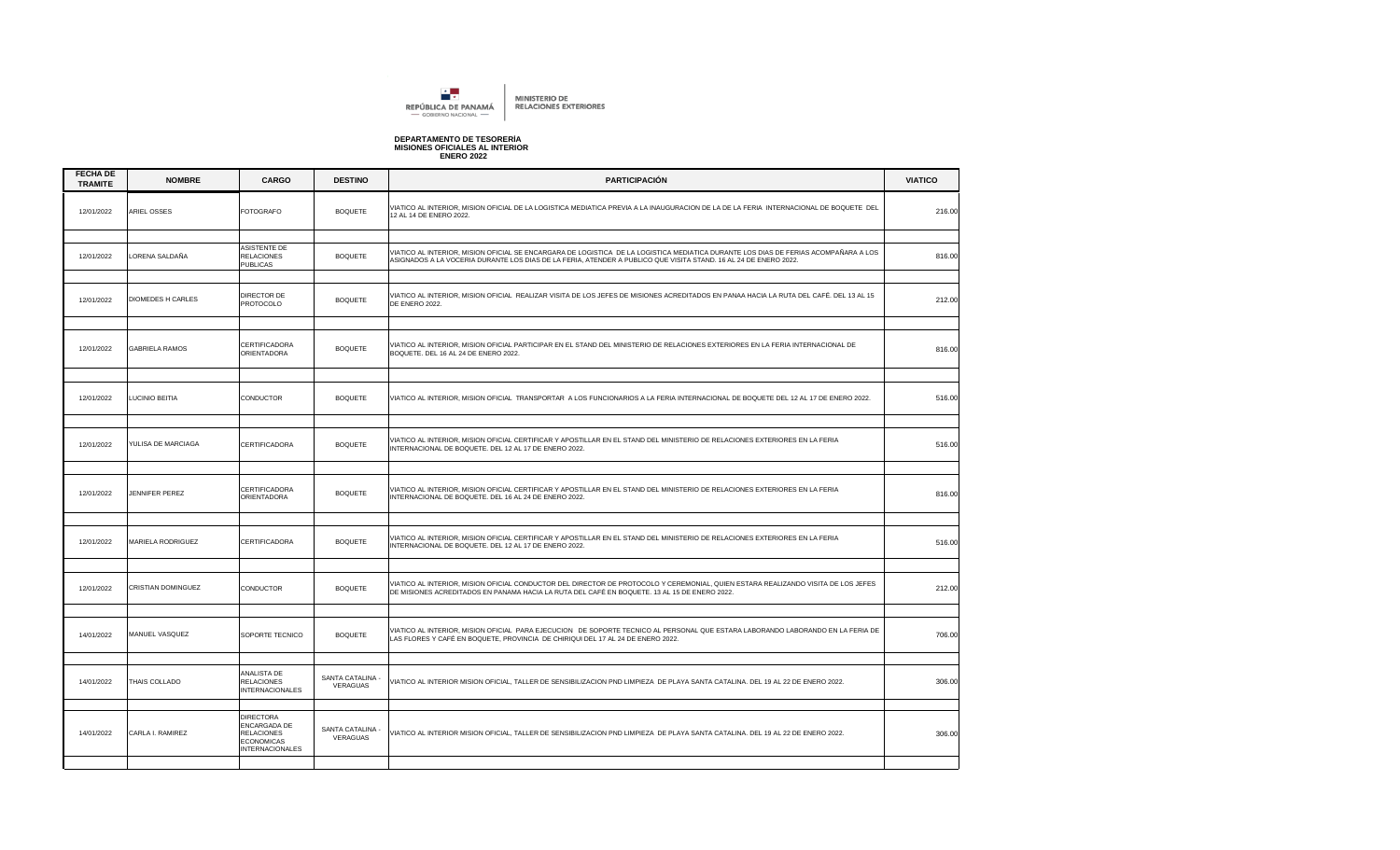

## **DEPARTAMENTO DE TESORERÍA MISIONES OFICIALES AL INTERIOR ENERO 2022**

| <b>FECHA DE</b><br><b>TRAMITE</b> | <b>NOMBRE</b>            | <b>CARGO</b>                                                                                         | <b>DESTINO</b>               | <b>PARTICIPACIÓN</b>                                                                                                                                                                                                                                   | <b>VIATICO</b> |
|-----------------------------------|--------------------------|------------------------------------------------------------------------------------------------------|------------------------------|--------------------------------------------------------------------------------------------------------------------------------------------------------------------------------------------------------------------------------------------------------|----------------|
| 12/01/2022                        | ARIEL OSSES              | <b>FOTOGRAFO</b>                                                                                     | <b>BOQUETE</b>               | VIATICO AL INTERIOR, MISION OFICIAL DE LA LOGISTICA MEDIATICA PREVIA A LA INAUGURACION DE LA DE LA FERIA INTERNACIONAL DE BOQUETE DEL<br>12 AL 14 DE ENERO 2022.                                                                                       | 216.00         |
|                                   |                          |                                                                                                      |                              |                                                                                                                                                                                                                                                        |                |
| 12/01/2022                        | LORENA SALDAÑA           | ASISTENTE DE<br><b>RELACIONES</b><br><b>PUBLICAS</b>                                                 | <b>BOQUETE</b>               | VIATICO AL INTERIOR, MISION OFICIAL SE ENCARGARA DE LOGISTICA DE LA LOGISTICA MEDIATICA DURANTE LOS DIAS DE FERIAS ACOMPAÑARA A LOS<br>ASIGNADOS A LA VOCERIA DURANTE LOS DIAS DE LA FERIA, ATENDER A PUBLICO QUE VISITA STAND. 16 AL 24 DE ENERO 2022 | 816.00         |
| 12/01/2022                        | <b>DIOMEDES H CARLES</b> | DIRECTOR DE<br>PROTOCOLO                                                                             | <b>BOQUETE</b>               | VIATICO AL INTERIOR, MISION OFICIAL REALIZAR VISITA DE LOS JEFES DE MISIONES ACREDITADOS EN PANAA HACIA LA RUTA DEL CAFÉ. DEL 13 AL 15<br><b>DE ENERO 2022.</b>                                                                                        | 212.00         |
|                                   |                          |                                                                                                      |                              |                                                                                                                                                                                                                                                        |                |
| 12/01/2022                        | <b>GABRIELA RAMOS</b>    | CERTIFICADORA<br>ORIENTADORA                                                                         | <b>BOQUETE</b>               | VIATICO AL INTERIOR, MISION OFICIAL PARTICIPAR EN EL STAND DEL MINISTERIO DE RELACIONES EXTERIORES EN LA FERIA INTERNACIONAL DE<br>BOQUETE. DEL 16 AL 24 DE ENERO 2022.                                                                                | 816.00         |
|                                   |                          |                                                                                                      |                              |                                                                                                                                                                                                                                                        |                |
| 12/01/2022                        | LUCINIO BEITIA           | CONDUCTOR                                                                                            | <b>BOQUETE</b>               | VIATICO AL INTERIOR, MISION OFICIAL TRANSPORTAR A LOS FUNCIONARIOS A LA FERIA INTERNACIONAL DE BOQUETE DEL 12 AL 17 DE ENERO 2022.                                                                                                                     | 516.00         |
|                                   |                          |                                                                                                      |                              |                                                                                                                                                                                                                                                        |                |
| 12/01/2022                        | YULISA DE MARCIAGA       | <b>CERTIFICADORA</b>                                                                                 | <b>BOQUETE</b>               | VIATICO AL INTERIOR, MISION OFICIAL CERTIFICAR Y APOSTILLAR EN EL STAND DEL MINISTERIO DE RELACIONES EXTERIORES EN LA FERIA<br>NTERNACIONAL DE BOQUETE. DEL 12 AL 17 DE ENERO 2022.                                                                    | 516.00         |
|                                   |                          |                                                                                                      |                              |                                                                                                                                                                                                                                                        |                |
| 12/01/2022                        | JENNIFER PEREZ           | CERTIFICADORA<br>ORIENTADORA                                                                         | <b>BOQUETE</b>               | VIATICO AL INTERIOR, MISION OFICIAL CERTIFICAR Y APOSTILLAR EN EL STAND DEL MINISTERIO DE RELACIONES EXTERIORES EN LA FERIA<br>NTERNACIONAL DE BOQUETE. DEL 16 AL 24 DE ENERO 2022.                                                                    | 816.00         |
|                                   |                          |                                                                                                      |                              |                                                                                                                                                                                                                                                        |                |
| 12/01/2022                        | MARIELA RODRIGUEZ        | CERTIFICADORA                                                                                        | <b>BOQUETE</b>               | VIATICO AL INTERIOR, MISION OFICIAL CERTIFICAR Y APOSTILLAR EN EL STAND DEL MINISTERIO DE RELACIONES EXTERIORES EN LA FERIA<br>INTERNACIONAL DE BOQUETE. DEL 12 AL 17 DE ENERO 2022.                                                                   | 516.00         |
|                                   |                          |                                                                                                      |                              |                                                                                                                                                                                                                                                        |                |
| 12/01/2022                        | CRISTIAN DOMINGUEZ       | CONDUCTOR                                                                                            | <b>BOQUETE</b>               | VIATICO AL INTERIOR, MISION OFICIAL CONDUCTOR DEL DIRECTOR DE PROTOCOLO Y CEREMONIAL, QUIEN ESTARA REALIZANDO VISITA DE LOS JEFES<br>DE MISIONES ACREDITADOS EN PANAMA HACIA LA RUTA DEL CAFÉ EN BOQUETE. 13 AL 15 DE ENERO 2022.                      | 212.00         |
|                                   |                          |                                                                                                      |                              |                                                                                                                                                                                                                                                        |                |
| 14/01/2022                        | MANUEL VASQUEZ           | SOPORTE TECNICO                                                                                      | <b>BOQUETE</b>               | VIATICO AL INTERIOR, MISION OFICIAL PARA EJECUCION DE SOPORTE TECNICO AL PERSONAL QUE ESTARA LABORANDO LABORANDO EN LA FERIA DE<br>LAS FLORES Y CAFÉ EN BOQUETE, PROVINCIA DE CHIRIQUI DEL 17 AL 24 DE ENERO 2022.                                     | 706.00         |
|                                   |                          |                                                                                                      |                              |                                                                                                                                                                                                                                                        |                |
| 14/01/2022                        | THAIS COLLADO            | ANALISTA DE<br><b>RELACIONES</b><br><b>INTERNACIONALES</b>                                           | SANTA CATALINA -<br>VERAGUAS | VIATICO AL INTERIOR MISION OFICIAL, TALLER DE SENSIBILIZACION PND LIMPIEZA DE PLAYA SANTA CATALINA. DEL 19 AL 22 DE ENERO 2022.                                                                                                                        | 306.00         |
|                                   |                          |                                                                                                      |                              |                                                                                                                                                                                                                                                        |                |
| 14/01/2022                        | CARLA I. RAMIREZ         | <b>DIRECTORA</b><br>ENCARGADA DE<br><b>RELACIONES</b><br><b>ECONOMICAS</b><br><b>INTERNACIONALES</b> | SANTA CATALINA -<br>VERAGUAS | /IATICO AL INTERIOR MISION OFICIAL, TALLER DE SENSIBILIZACION PND LIMPIEZA DE PLAYA SANTA CATALINA. DEL 19 AL 22 DE ENERO 2022.                                                                                                                        | 306.00         |
|                                   |                          |                                                                                                      |                              |                                                                                                                                                                                                                                                        |                |